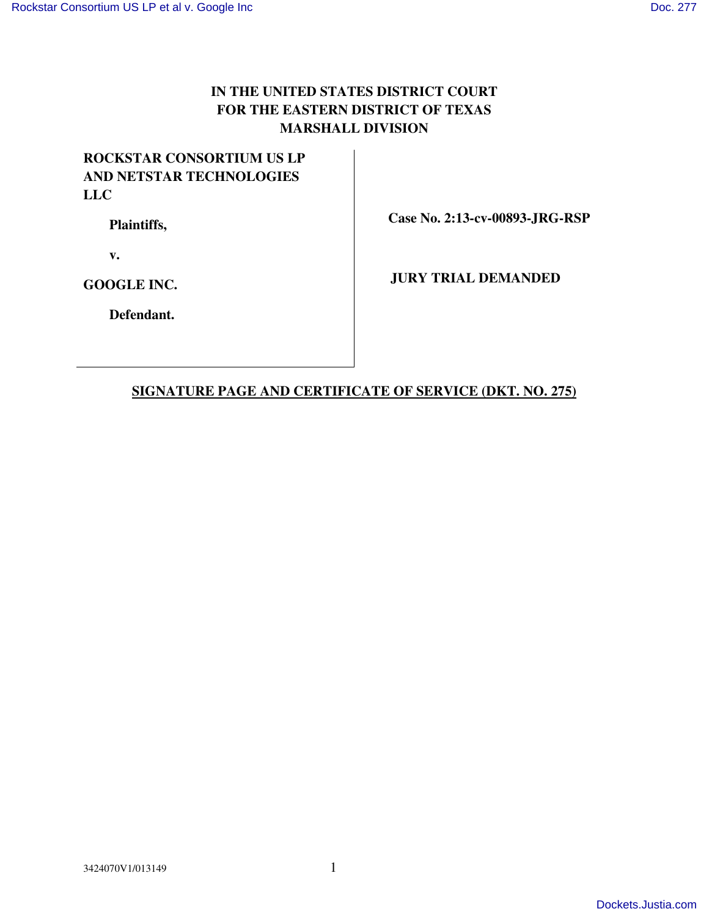## **IN THE UNITED STATES DISTRICT COURT FOR THE EASTERN DISTRICT OF TEXAS MARSHALL DIVISION**

## **ROCKSTAR CONSORTIUM US LP AND NETSTAR TECHNOLOGIES LLC**

 **Plaintiffs,** 

 **Case No. 2:13-cv-00893-JRG-RSP** 

 **v.** 

**GOOGLE INC.** 

 **JURY TRIAL DEMANDED** 

 **Defendant.** 

## **SIGNATURE PAGE AND CERTIFICATE OF SERVICE (DKT. NO. 275)**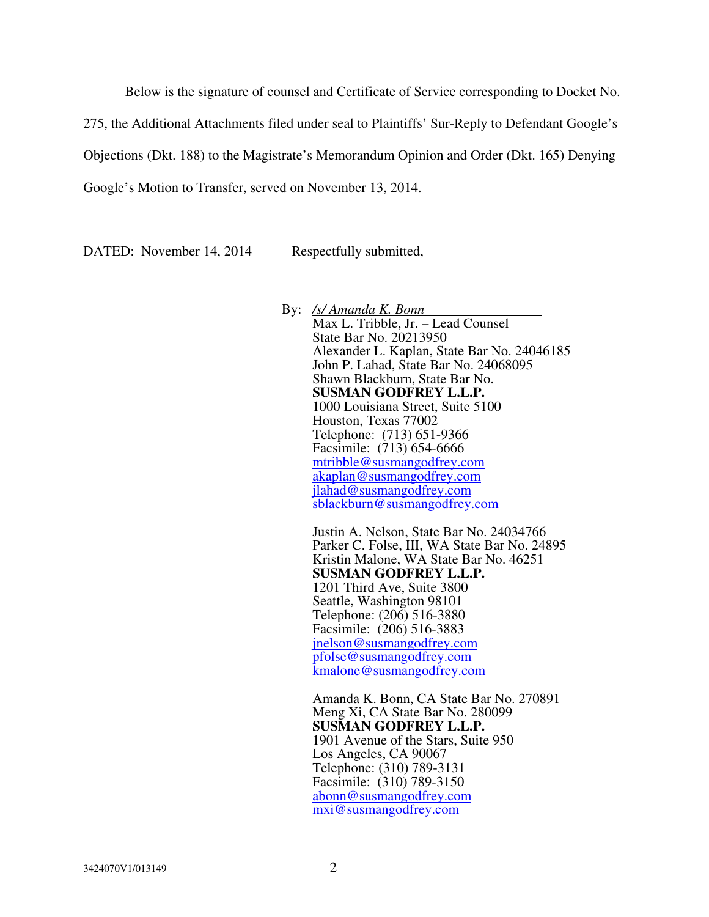Below is the signature of counsel and Certificate of Service corresponding to Docket No.

275, the Additional Attachments filed under seal to Plaintiffs' Sur-Reply to Defendant Google's

Objections (Dkt. 188) to the Magistrate's Memorandum Opinion and Order (Dkt. 165) Denying

Google's Motion to Transfer, served on November 13, 2014.

DATED: November 14, 2014 Respectfully submitted,

By: */s/ Amanda K. Bonn*  Max L. Tribble, Jr. – Lead Counsel State Bar No. 20213950 Alexander L. Kaplan, State Bar No. 24046185 John P. Lahad, State Bar No. 24068095 Shawn Blackburn, State Bar No. **SUSMAN GODFREY L.L.P.**  1000 Louisiana Street, Suite 5100 Houston, Texas 77002 Telephone: (713) 651-9366 Facsimile: (713) 654-6666 mtribble@susmangodfrey.com akaplan@susmangodfrey.com jlahad@susmangodfrey.com sblackburn@susmangodfrey.com

Justin A. Nelson, State Bar No. 24034766 Parker C. Folse, III, WA State Bar No. 24895 Kristin Malone, WA State Bar No. 46251 **SUSMAN GODFREY L.L.P.**  1201 Third Ave, Suite 3800 Seattle, Washington 98101 Telephone: (206) 516-3880 Facsimile: (206) 516-3883 jnelson@susmangodfrey.com pfolse@susmangodfrey.com kmalone@susmangodfrey.com

Amanda K. Bonn, CA State Bar No. 270891 Meng Xi, CA State Bar No. 280099 **SUSMAN GODFREY L.L.P.**  1901 Avenue of the Stars, Suite 950 Los Angeles, CA 90067 Telephone: (310) 789-3131 Facsimile: (310) 789-3150 abonn@susmangodfrey.com mxi@susmangodfrey.com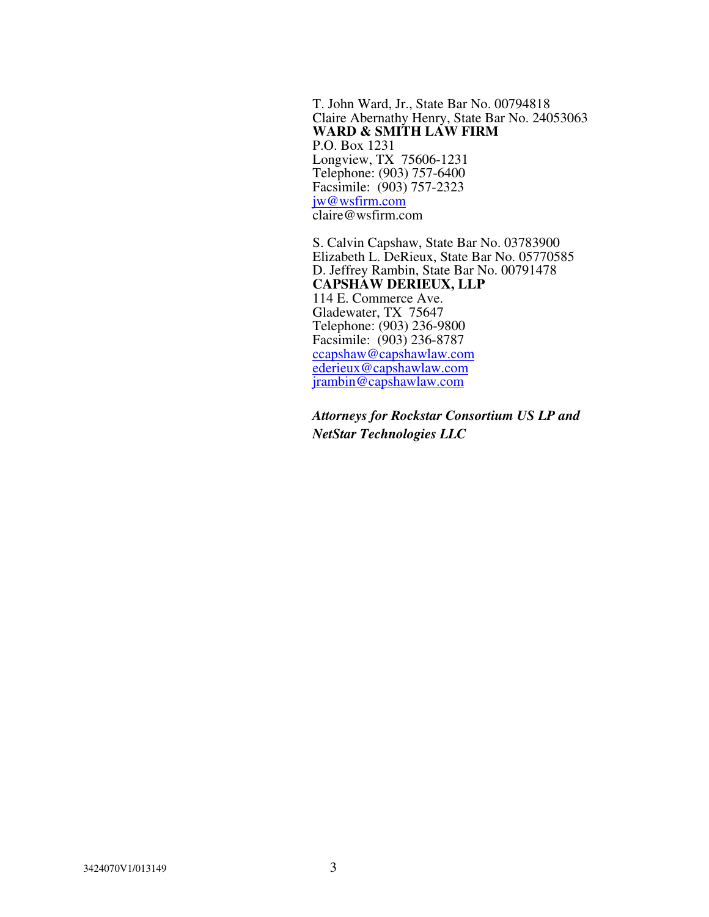T. John Ward, Jr., State Bar No. 00794818 Claire Abernathy Henry, State Bar No. 24053063 **WARD & SMITH LAW FIRM**  P.O. Box 1231 Longview, TX 75606-1231 Telephone: (903) 757-6400 Facsimile: (903) 757-2323 jw@wsfirm.com claire@wsfirm.com

S. Calvin Capshaw, State Bar No. 03783900 Elizabeth L. DeRieux, State Bar No. 05770585 D. Jeffrey Rambin, State Bar No. 00791478 **CAPSHAW DERIEUX, LLP**  114 E. Commerce Ave. Gladewater, TX 75647 Telephone: (903) 236-9800 Facsimile: (903) 236-8787 ccapshaw@capshawlaw.com ederieux@capshawlaw.com jrambin@capshawlaw.com

*Attorneys for Rockstar Consortium US LP and NetStar Technologies LLC*